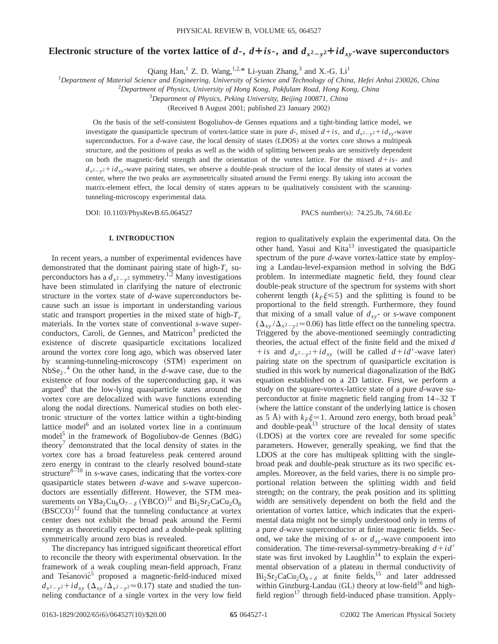# Electronic structure of the vortex lattice of  $d$ -,  $d$ + $is$ -, and  $d_{x^2-y^2}+id_{xy}$ -wave superconductors

Qiang Han,<sup>1</sup> Z. D. Wang,<sup>1,2,\*</sup> Li-yuan Zhang,<sup>3</sup> and X.-G. Li<sup>1</sup>

1 *Department of Material Science and Engineering, University of Science and Technology of China, Hefei Anhui 230026, China*

2 *Department of Physics, University of Hong Kong, Pokfulam Road, Hong Kong, China*

3 *Department of Physics, Peking University, Beijing 100871, China*

(Received 8 August 2001; published 23 January 2002)

On the basis of the self-consistent Bogoliubov-de Gennes equations and a tight-binding lattice model, we investigate the quasiparticle spectrum of vortex-lattice state in pure *d*-, mixed  $d+is$ , and  $d_{x^2-y^2}+id_{xy}$ -wave superconductors. For a *d*-wave case, the local density of states (LDOS) at the vortex core shows a multipeak structure, and the positions of peaks as well as the width of splitting between peaks are sensitively dependent on both the magnetic-field strength and the orientation of the vortex lattice. For the mixed  $d + is$ - and  $d_{x^2-y^2}+id_{xy}$ -wave pairing states, we observe a double-peak structure of the local density of states at vortex center, where the two peaks are asymmetrically situated around the Fermi energy. By taking into account the matrix-element effect, the local density of states appears to be qualitatively consistent with the scanningtunneling-microscopy experimental data.

DOI: 10.1103/PhysRevB.65.064527 PACS number(s): 74.25.Jb, 74.60.Ec

### **I. INTRODUCTION**

In recent years, a number of experimental evidences have demonstrated that the dominant pairing state of high- $T_c$  superconductors has a  $d_{x^2-y^2}$  symmetry.<sup>1,2</sup> Many investigations have been stimulated in clarifying the nature of electronic structure in the vortex state of *d*-wave superconductors because such an issue is important in understanding various static and transport properties in the mixed state of high- $T_c$ materials. In the vortex state of conventional *s*-wave superconductors, Caroli, de Gennes, and Matricon<sup>3</sup> predicted the existence of discrete quasiparticle excitations localized around the vortex core long ago, which was observed later by scanning-tunneling-microscopy (STM) experiment on  $NbSe<sub>2</sub>$ .<sup>4</sup> On the other hand, in the *d*-wave case, due to the existence of four nodes of the superconducting gap, it was argued<sup>5</sup> that the low-lying quasiparticle states around the vortex core are delocalized with wave functions extending along the nodal directions. Numerical studies on both electronic structure of the vortex lattice within a tight-binding lattice model $<sup>6</sup>$  and an isolated vortex line in a continuum</sup> model<sup>5</sup> in the framework of Bogoliubov-de Gennes  $(BdG)$ theory<sup>7</sup> demonstrated that the local density of states in the vortex core has a broad featureless peak centered around zero energy in contrast to the clearly resolved bound-state structure $8\overline{-}10$  in *s*-wave cases, indicating that the vortex-core quasiparticle states between *d*-wave and *s*-wave superconductors are essentially different. However, the STM measurements on  $YBa_2Cu_8O_{7-\delta}$  (YBCO)<sup>11</sup> and  $Bi_2Sr_2CaCu_2O_8$  $(BSCCO)^{12}$  found that the tunneling conductance at vortex center does not exhibit the broad peak around the Fermi energy as theoretically expected and a double-peak splitting symmetrically around zero bias is revealed.

The discrepancy has intrigued significant theoretical effort to reconcile the theory with experimental observation. In the framework of a weak coupling mean-field approach, Franz and Tes´anovi $\acute{c}^5$  proposed a magnetic-field-induced mixed  $d_{x^2-y^2}+id_{xy}$  ( $\Delta_{xy}/\Delta_{x^2-y^2} \approx 0.17$ ) state and studied the tunneling conductance of a single vortex in the very low field

region to qualitatively explain the experimental data. On the other hand, Yasui and Kita<sup>13</sup> investigated the quasiparticle spectrum of the pure *d*-wave vortex-lattice state by employing a Landau-level-expansion method in solving the BdG problem. In intermediate magnetic field, they found clear double-peak structure of the spectrum for systems with short coherent length  $(k_F\xi \leq 5)$  and the splitting is found to be proportional to the field strength. Furthermore, they found that mixing of a small value of  $d_{xy}$ - or *s*-wave component  $(\Delta_{xy}/\Delta_{x^2-y^2} \approx 0.06)$  has little effect on the tunneling spectra. Triggered by the above-mentioned seemingly contradicting theories, the actual effect of the finite field and the mixed *d*  $+ is$  and  $d_{x^2-y^2}+id_{xy}$  (will be called  $d+id'$ -wave later) pairing state on the spectrum of quasiparticle excitation is studied in this work by numerical diagonalization of the BdG equation established on a 2D lattice. First, we perform a study on the square-vortex-lattice state of a pure *d*-wave superconductor at finite magnetic field ranging from 14–32 T (where the lattice constant of the underlying lattice is chosen as 5 Å) with  $k_F \xi \approx 1$ . Around zero energy, both broad peak<sup>5</sup> and double-peak<sup>13</sup> structure of the local density of states (LDOS) at the vortex core are revealed for some specific parameters. However, generally speaking, we find that the LDOS at the core has multipeak splitting with the singlebroad peak and double-peak structure as its two specific examples. Moreover, as the field varies, there is no simple proportional relation between the splitting width and field strength; on the contrary, the peak position and its splitting width are sensitively dependent on both the field and the orientation of vortex lattice, which indicates that the experimental data might not be simply understood only in terms of a pure *d*-wave superconductor at finite magnetic fields. Second, we take the mixing of  $s$ - or  $d_{xy}$ -wave component into consideration. The time-reversal-symmetry-breaking  $d + id'$ state was first invoked by Laughlin<sup>14</sup> to explain the experimental observation of a plateau in thermal conductivity of  $Bi_2Sr_2CaCu_2O_{8+\delta}$  at finite fields,<sup>15</sup> and later addressed within Ginzburg-Landau (GL) theory at low-field<sup>16</sup> and highfield region $17$  through field-induced phase transition. Apply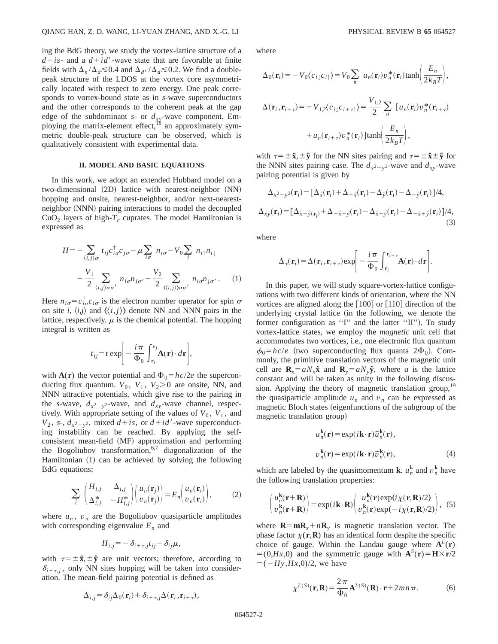ing the BdG theory, we study the vortex-lattice structure of a  $d + is$ - and a  $d + id'$ -wave state that are favorable at finite fields with  $\Delta_s/\Delta_d \leq 0.4$  and  $\Delta_{d'}/\Delta_d \leq 0.2$ . We find a doublepeak structure of the LDOS at the vortex core asymmetrically located with respect to zero energy. One peak corresponds to vortex-bound state as in *s*-wave superconductors and the other corresponds to the coherent peak at the gap edge of the subdominant  $s$ - or  $d_{xy}$ -wave component. Employing the matrix-element effect,<sup>18</sup> an approximately symmetric double-peak structure can be observed, which is qualitatively consistent with experimental data.

#### **II. MODEL AND BASIC EQUATIONS**

In this work, we adopt an extended Hubbard model on a  $two$ -dimensional  $(2D)$  lattice with nearest-neighbor  $(NN)$ hopping and onsite, nearest-neighbor, and/or next-nearestneighbor (NNN) pairing interactions to model the decoupled  $CuO<sub>2</sub>$  layers of high- $T<sub>c</sub>$  cuprates. The model Hamiltonian is expressed as

$$
H = -\sum_{\langle i,j\rangle\sigma} t_{ij} c_{i\sigma}^{\dagger} c_{j\sigma} - \mu \sum_{i\sigma} n_{i\sigma} - V_0 \sum_i n_{i\uparrow} n_{i\downarrow}
$$

$$
- \frac{V_1}{2} \sum_{\langle i,j\rangle\sigma\sigma'} n_{i\sigma} n_{j\sigma'} - \frac{V_2}{2} \sum_{\langle\langle i,j\rangle\rangle\sigma\sigma'} n_{i\sigma} n_{j\sigma'} . \tag{1}
$$

Here  $n_{i\sigma} = c_{i\sigma}^{\dagger} c_{i\sigma}$  is the electron number operator for spin  $\sigma$ on site *i*,  $\langle i, j \rangle$  and  $\langle \langle i, j \rangle \rangle$  denote NN and NNN pairs in the lattice, respectively.  $\mu$  is the chemical potential. The hopping integral is written as

$$
t_{ij} = t \exp \bigg[ -\frac{i\pi}{\Phi_0} \int_{\mathbf{r}_i}^{\mathbf{r}_j} \mathbf{A}(\mathbf{r}) \cdot d\mathbf{r} \bigg],
$$

with  $A(r)$  the vector potential and  $\Phi_0 = hc/2e$  the superconducting flux quantum.  $V_0$ ,  $V_1$ ,  $V_2 > 0$  are onsite, NN, and NNN attractive potentials, which give rise to the pairing in the *s*-wave,  $d_{x^2-y^2}$ -wave, and  $d_{xy}$ -wave channel, respectively. With appropriate setting of the values of  $V_0$ ,  $V_1$ , and  $V_2$ , *s*-,  $d_{x^2-y^2}$ , mixed  $d+is$ , or  $d+id'$ -wave superconducting instability can be reached. By applying the selfconsistent mean-field (MF) approximation and performing the Bogoliubov transformation,  $6,7$  diagonalization of the Hamiltonian  $(1)$  can be achieved by solving the following BdG equations:

$$
\sum_{j} \begin{pmatrix} H_{i,j} & \Delta_{i,j} \\ \Delta_{i,j}^* & -H_{i,j}^* \end{pmatrix} \begin{pmatrix} u_n(\mathbf{r}_j) \\ v_n(\mathbf{r}_j) \end{pmatrix} = E_n \begin{pmatrix} u_n(\mathbf{r}_i) \\ v_n(\mathbf{r}_i) \end{pmatrix},
$$
 (2)

where  $u_n$ ,  $v_n$  are the Bogoliubov quasiparticle amplitudes with corresponding eigenvalue  $E_n$  and

$$
H_{i,j} = -\delta_{i+\tau,j} t_{ij} - \delta_{ij} \mu,
$$

with  $\tau = \pm \hat{\mathbf{x}}, \pm \hat{\mathbf{y}}$  are unit vectors; therefore, according to  $\delta_{i+\tau,i}$ , only NN sites hopping will be taken into consideration. The mean-field pairing potential is defined as

$$
\Delta_{i,j} = \delta_{ij} \Delta_0(\mathbf{r}_i) + \delta_{i+\tau,j} \Delta(\mathbf{r}_i, \mathbf{r}_{i+\tau}),
$$

where

$$
\Delta_0(\mathbf{r}_i) = -V_0 \langle c_{i\downarrow} c_{i\uparrow} \rangle = V_0 \sum_n u_n(\mathbf{r}_i) v_n^*(\mathbf{r}_i) \tanh\left(\frac{E_n}{2k_B T}\right),
$$
  

$$
\Delta(\mathbf{r}_i, \mathbf{r}_{i+\tau}) = -V_{1,2} \langle c_{i\downarrow} c_{i+\tau\uparrow} \rangle = \frac{V_{1,2}}{2} \sum_n [u_n(\mathbf{r}_i) v_n^*(\mathbf{r}_{i+\tau}) + u_n(\mathbf{r}_{i+\tau}) v_n^*(\mathbf{r}_i)] \tanh\left(\frac{E_n}{2k_B T}\right),
$$

with  $\tau = \pm \hat{\mathbf{x}}, \pm \hat{\mathbf{y}}$  for the NN sites pairing and  $\tau = \pm \hat{\mathbf{x}} \pm \hat{\mathbf{y}}$  for the NNN sites pairing case. The  $d_{x^2-y^2}$ -wave and  $d_{xy}$ -wave pairing potential is given by

$$
\Delta_{x^2-y^2}(\mathbf{r}_i) = [\Delta_{\hat{x}}(\mathbf{r}_i) + \Delta_{-\hat{x}}(\mathbf{r}_i) - \Delta_{\hat{y}}(\mathbf{r}_i) - \Delta_{-\hat{y}}(\mathbf{r}_i)]/4,
$$
  
\n
$$
\Delta_{xy}(\mathbf{r}_i) = [\Delta_{\hat{x}+\hat{y}(\mathbf{r}_i)} + \Delta_{-\hat{x}-\hat{y}}(\mathbf{r}_i) - \Delta_{\hat{x}-\hat{y}}(\mathbf{r}_i) - \Delta_{-\hat{x}+\hat{y}}(\mathbf{r}_i)]/4,
$$
\n(3)

where

$$
\Delta_{\tau}(\mathbf{r}_{i}) = \Delta(\mathbf{r}_{i}, \mathbf{r}_{i+\tau}) \exp \bigg[ -\frac{i\pi}{\Phi_{0}} \int_{\mathbf{r}_{i}}^{\mathbf{r}_{i+\tau}} \mathbf{A}(\mathbf{r}) \cdot d\mathbf{r} \bigg].
$$

In this paper, we will study square-vortex-lattice configurations with two different kinds of orientation, where the NN vortices are aligned along the  $[100]$  or  $[110]$  direction of the underlying crystal lattice (in the following, we denote the former configuration as "I" and the latter "II"). To study vortex-lattice states, we employ the *magnetic* unit cell that accommodates two vortices, i.e., one electronic flux quantum  $\phi_0 = hc/e$  (two superconducting flux quanta 2 $\Phi_0$ ). Commonly, the primitive translation vectors of the magnetic unit cell are  $\mathbf{R}_x = aN_x\hat{\mathbf{x}}$  and  $\mathbf{R}_y = aN_y\hat{\mathbf{y}}$ , where *a* is the lattice constant and will be taken as unity in the following discussion. Applying the theory of magnetic translation group,<sup>19</sup> the quasiparticle amplitude  $u_n$  and  $v_n$  can be expressed as magnetic Bloch states (eigenfunctions of the subgroup of the magnetic translation group)

$$
u_n^{\mathbf{k}}(\mathbf{r}) = \exp(i\mathbf{k}\cdot\mathbf{r})\tilde{u}_n^{\mathbf{k}}(\mathbf{r}),
$$
  

$$
v_n^{\mathbf{k}}(\mathbf{r}) = \exp(i\mathbf{k}\cdot\mathbf{r})\tilde{v}_n^{\mathbf{k}}(\mathbf{r}),
$$
 (4)

which are labeled by the quasimomentum **k**.  $u_n^k$  and  $v_n^k$  have the following translation properties:

$$
\begin{pmatrix} u_n^{\mathbf{k}}(\mathbf{r}+\mathbf{R}) \\ v_n^{\mathbf{k}}(\mathbf{r}+\mathbf{R}) \end{pmatrix} = \exp(i\mathbf{k}\cdot\mathbf{R}) \begin{pmatrix} u_n^{\mathbf{k}}(\mathbf{r}) \exp(i\chi(\mathbf{r},\mathbf{R})/2) \\ v_n^{\mathbf{k}}(\mathbf{r}) \exp(-i\chi(\mathbf{r},\mathbf{R})/2) \end{pmatrix}, \tag{5}
$$

where  $\mathbf{R} = \mathbf{m}\mathbf{R}_r + n\mathbf{R}_v$  is magnetic translation vector. The phase factor  $\chi(\mathbf{r}, \mathbf{R})$  has an identical form despite the specific choice of gauge. Within the Landau gauge where  $A^L(r)$  $= (0, Hx, 0)$  and the symmetric gauge with  $\mathbf{A}^{S}(\mathbf{r}) = \mathbf{H} \times \mathbf{r}/2$  $= (-Hy,Hx,0)/2$ , we have

$$
\chi^{L(S)}(\mathbf{r}, \mathbf{R}) = \frac{2\pi}{\Phi_0} \mathbf{A}^{L(S)}(\mathbf{R}) \cdot \mathbf{r} + 2mn\,\pi. \tag{6}
$$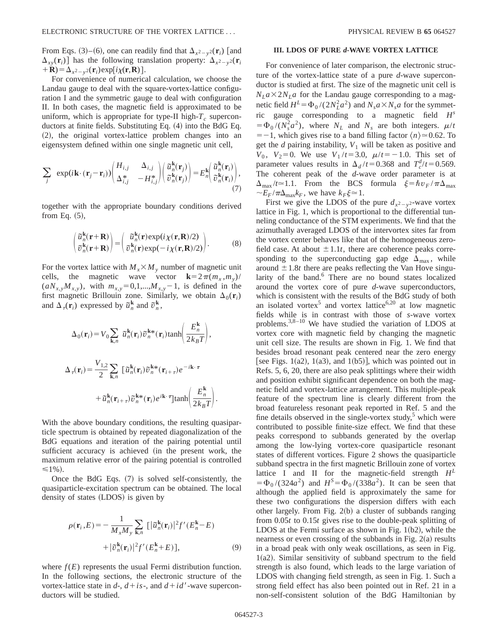From Eqs. (3)–(6), one can readily find that  $\Delta_{x^2-y^2}(\mathbf{r}_i)$  [and  $\Delta_{xy}(\mathbf{r}_i)$  has the following translation property:  $\Delta_{x^2-y^2}(\mathbf{r}_i)$  $+$ **R**) $=$  $\Delta_{x^2-y^2}(\mathbf{r}_i)$ exp $[i\chi(\mathbf{r},\mathbf{R})]$ .

For convenience of numerical calculation, we choose the Landau gauge to deal with the square-vortex-lattice configuration I and the symmetric gauge to deal with configuration II. In both cases, the magnetic field is approximated to be uniform, which is appropriate for type-II high- $T_c$  superconductors at finite fields. Substituting Eq.  $(4)$  into the BdG Eq. (2), the original vortex-lattice problem changes into an eigensystem defined within one single magnetic unit cell,

$$
\sum_{j} \exp(i\mathbf{k}\cdot(\mathbf{r}_{j}-\mathbf{r}_{i})) \begin{pmatrix} H_{i,j} & \Delta_{i,j} \\ \Delta_{i,j}^{*} & -H_{i,j}^{*} \end{pmatrix} \begin{pmatrix} \tilde{u}_{n}^{k}(\mathbf{r}_{j}) \\ \tilde{v}_{n}^{k}(\mathbf{r}_{j}) \end{pmatrix} = E_{n}^{k} \begin{pmatrix} \tilde{u}_{n}^{k}(\mathbf{r}_{i}) \\ \tilde{v}_{n}^{k}(\mathbf{r}_{i}) \end{pmatrix}, \tag{7}
$$

together with the appropriate boundary conditions derived from Eq.  $(5)$ ,

$$
\begin{pmatrix}\n\tilde{u}_n^{\mathbf{k}}(\mathbf{r}+\mathbf{R}) \\
\tilde{v}_n^{\mathbf{k}}(\mathbf{r}+\mathbf{R})\n\end{pmatrix} = \begin{pmatrix}\n\tilde{u}_n^{\mathbf{k}}(\mathbf{r}) \exp(i\chi(\mathbf{r}, \mathbf{R})/2) \\
\tilde{v}_n^{\mathbf{k}}(\mathbf{r}) \exp(-i\chi(\mathbf{r}, \mathbf{R})/2)\n\end{pmatrix}.
$$
\n(8)

For the vortex lattice with  $M_{x} \times M_{y}$  number of magnetic unit cells, the magnetic wave vector  $\mathbf{k}=2\pi(m_x,m_y)/$  $(aN_{x,y}M_{x,y})$ , with  $m_{x,y}=0,1,...,M_{x,y}-1$ , is defined in the first magnetic Brillouin zone. Similarly, we obtain  $\Delta_0(\mathbf{r}_i)$ and  $\Delta_{\tau}(\mathbf{r}_i)$  expressed by  $\tilde{u}_n^{\mathbf{k}}$  and  $\tilde{v}_n^{\mathbf{k}}$ ,

$$
\Delta_0(\mathbf{r}_i) = V_0 \sum_{\mathbf{k}, n} \tilde{u}_n^{\mathbf{k}}(\mathbf{r}_i) \tilde{v}_n^{\mathbf{k} *}(\mathbf{r}_i) \tanh\left(\frac{E_n^{\mathbf{k}}}{2k_B T}\right),
$$
  

$$
\Delta_\tau(\mathbf{r}_i) = \frac{V_{1,2}}{2} \sum_{\mathbf{k}, n} \left[ \tilde{u}_n^{\mathbf{k}}(\mathbf{r}_i) \tilde{v}_n^{\mathbf{k} *}(\mathbf{r}_{i+\tau}) e^{-i\mathbf{k} \cdot \tau} + \tilde{u}_n^{\mathbf{k}}(\mathbf{r}_{i+\tau}) \tilde{v}_n^{\mathbf{k} *}(\mathbf{r}_i) e^{i\mathbf{k} \cdot \tau} \right] \tanh\left(\frac{E_n^{\mathbf{k}}}{2k_B T}\right).
$$

With the above boundary conditions, the resulting quasiparticle spectrum is obtained by repeated diagonalization of the BdG equations and iteration of the pairing potential until sufficient accuracy is achieved (in the present work, the maximum relative error of the pairing potential is controlled  $\leq 1\%$ ).

Once the BdG Eqs.  $(7)$  is solved self-consistently, the quasiparticle-excitation spectrum can be obtained. The local density of states (LDOS) is given by

$$
\rho(\mathbf{r}_i, E) = -\frac{1}{M_x M_y} \sum_{\mathbf{k}, n} \left[ |\tilde{u}_n^{\mathbf{k}}(\mathbf{r}_i)|^2 f'(E_n^{\mathbf{k}} - E) + |\tilde{\sigma}_n^{\mathbf{k}}(\mathbf{r}_i)|^2 f'(E_n^{\mathbf{k}} + E) \right],
$$
\n(9)

where  $f(E)$  represents the usual Fermi distribution function. In the following sections, the electronic structure of the vortex-lattice state in  $d$ -,  $d$ + *is*-, and  $d$ + *id*<sup> $\prime$ </sup>-wave superconductors will be studied.

## **III. LDOS OF PURE** *d***-WAVE VORTEX LATTICE**

For convenience of later comparison, the electronic structure of the vortex-lattice state of a pure *d*-wave superconductor is studied at first. The size of the magnetic unit cell is  $N<sub>L</sub>a \times 2N<sub>L</sub>a$  for the Landau gauge corresponding to a magnetic field  $H^L = \Phi_0 / (2N_L^2 a^2)$  and  $N_s a \times N_s a$  for the symmetric gauge corresponding to a magnetic field *H<sup>s</sup>*  $= \Phi_0 / (N_s^2 a^2)$ , where  $N_L$  and  $N_s$  are both integers.  $\mu / t$  $=$  -1, which gives rise to a band filling factor  $\langle n \rangle \approx 0.62$ . To get the  $d$  pairing instability,  $V_1$  will be taken as positive and *V*<sub>0</sub>, *V*<sub>2</sub>=0. We use *V*<sub>1</sub>/*t*=3.0,  $\mu$ /*t*=-1.0. This set of parameter values results in  $\Delta_d / t = 0.368$  and  $T_c^d / t = 0.569$ . The coherent peak of the *d*-wave order parameter is at  $\Delta_{\text{max}}/t \approx 1.1$ . From the BCS formula  $\xi = \hbar v_F / \pi \Delta_{\text{max}}$  $\sim E_F/\pi\Delta_{\text{max}}k_F$ , we have  $k_F\xi \approx 1$ .

First we give the LDOS of the pure  $d_{x^2-y^2}$ -wave vortex lattice in Fig. 1, which is proportional to the differential tunneling conductance of the STM experiments. We find that the azimuthally averaged LDOS of the intervortex sites far from the vortex center behaves like that of the homogeneous zerofield case. At about  $\pm 1.1t$ , there are coherence peaks corresponding to the superconducting gap edge  $\Delta_{\text{max}}$ , while around  $\pm$  1.8*t* there are peaks reflecting the Van Hove singularity of the band.<sup>6</sup> There are no bound states localized around the vortex core of pure *d*-wave superconductors, which is consistent with the results of the BdG study of both an isolated vortex<sup>5</sup> and vortex lattice<sup>6,20</sup> at low magnetic fields while is in contrast with those of *s*-wave vortex problems.<sup>3,8–10</sup> We have studied the variation of LDOS at vortex core with magnetic field by changing the magnetic unit cell size. The results are shown in Fig. 1. We find that besides broad resonant peak centered near the zero energy [see Figs. 1(a2), 1(a3), and 1(b5)], which was pointed out in Refs. 5, 6, 20, there are also peak splittings where their width and position exhibit significant dependence on both the magnetic field and vortex-lattice arrangement. This multiple-peak feature of the spectrum line is clearly different from the broad featureless resonant peak reported in Ref. 5 and the fine details observed in the single-vortex study, $5$  which were contributed to possible finite-size effect. We find that these peaks correspond to subbands generated by the overlap among the low-lying vortex-core quasiparticle resonant states of different vortices. Figure 2 shows the quasiparticle subband spectra in the first magnetic Brillouin zone of vortex lattice I and II for the magnetic-field strength *H<sup>L</sup>*  $= \Phi_0 / (324a^2)$  and  $H^S = \Phi_0 / (338a^2)$ . It can be seen that although the applied field is approximately the same for these two configurations the dispersion differs with each other largely. From Fig.  $2(b)$  a cluster of subbands ranging from 0.05*t* to 0.15*t* gives rise to the double-peak splitting of LDOS at the Fermi surface as shown in Fig.  $1(b2)$ , while the nearness or even crossing of the subbands in Fig.  $2(a)$  results in a broad peak with only weak oscillations, as seen in Fig.  $1(a2)$ . Similar sensitivity of subband spectrum to the field strength is also found, which leads to the large variation of LDOS with changing field strength, as seen in Fig. 1. Such a strong field effect has also been pointed out in Ref. 21 in a non-self-consistent solution of the BdG Hamiltonian by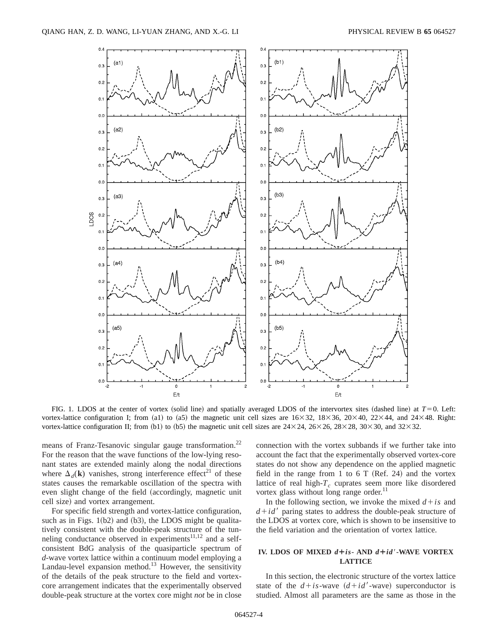

FIG. 1. LDOS at the center of vortex (solid line) and spatially averaged LDOS of the intervortex sites (dashed line) at  $T=0$ . Left: vortex-lattice configuration I; from (a1) to (a5) the magnetic unit cell sizes are  $16\times32$ ,  $18\times36$ ,  $20\times40$ ,  $22\times44$ , and  $24\times48$ . Right: vortex-lattice configuration II; from (b1) to (b5) the magnetic unit cell sizes are  $24\times24$ ,  $26\times26$ ,  $28\times28$ ,  $30\times30$ , and  $32\times32$ .

means of Franz-Tesanovic singular gauge transformation.<sup>22</sup> For the reason that the wave functions of the low-lying resonant states are extended mainly along the nodal directions where  $\Delta_d(\mathbf{k})$  vanishes, strong interference effect<sup>21</sup> of these states causes the remarkable oscillation of the spectra with even slight change of the field (accordingly, magnetic unit cell size) and vortex arrangement.

For specific field strength and vortex-lattice configuration, such as in Figs.  $1(b2)$  and  $(b3)$ , the LDOS might be qualitatively consistent with the double-peak structure of the tunneling conductance observed in experiments<sup>11,12</sup> and a selfconsistent BdG analysis of the quasiparticle spectrum of *d*-wave vortex lattice within a continuum model employing a Landau-level expansion method.<sup>13</sup> However, the sensitivity of the details of the peak structure to the field and vortexcore arrangement indicates that the experimentally observed double-peak structure at the vortex core might *not* be in close connection with the vortex subbands if we further take into account the fact that the experimentally observed vortex-core states do not show any dependence on the applied magnetic field in the range from 1 to 6 T (Ref. 24) and the vortex lattice of real high- $T_c$  cuprates seem more like disordered vortex glass without long range order.<sup>11</sup>

In the following section, we invoke the mixed  $d + is$  and  $d + id'$  paring states to address the double-peak structure of the LDOS at vortex core, which is shown to be insensitive to the field variation and the orientation of vortex lattice.

## **IV. LDOS OF MIXED**  $d + is -$  AND  $d + id'$ -WAVE VORTEX **LATTICE**

In this section, the electronic structure of the vortex lattice state of the  $d + is$ -wave  $(d + id'$ -wave) superconductor is studied. Almost all parameters are the same as those in the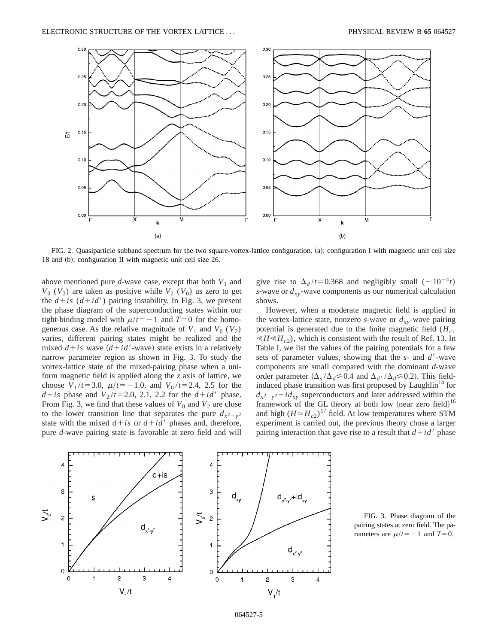

FIG. 2. Quasiparticle subband spectrum for the two square-vortex-lattice configuration. (a): configuration I with magnetic unit cell size 18 and (b): configuration II with magnetic unit cell size  $26$ .

above mentioned pure  $d$ -wave case, except that both  $V_1$  and  $V_0$  ( $V_2$ ) are taken as positive while  $V_2$  ( $V_0$ ) as zero to get the  $d+is$  ( $d+id'$ ) pairing instability. In Fig. 3, we present the phase diagram of the superconducting states within our tight-binding model with  $\mu/t = -1$  and  $T=0$  for the homogeneous case. As the relative magnitude of  $V_1$  and  $V_0$  ( $V_2$ ) varies, different pairing states might be realized and the mixed  $d + is$  wave  $(d + id'$ -wave) state exists in a relatively narrow parameter region as shown in Fig. 3. To study the vortex-lattice state of the mixed-pairing phase when a uniform magnetic field is applied along the *z* axis of lattice, we choose  $V_1/t = 3.0$ ,  $\mu/t = -1.0$ , and  $V_0/t = 2.4$ , 2.5 for the  $d + is$  phase and  $V_2/t = 2.0$ , 2.1, 2.2 for the  $d + id'$  phase. From Fig. 3, we find that these values of  $V_0$  and  $V_2$  are close to the lower transition line that separates the pure  $d_{x^2-y^2}$ state with the mixed  $d + is$  or  $d + id'$  phases and, therefore, pure *d*-wave pairing state is favorable at zero field and will give rise to  $\Delta_d / t = 0.368$  and negligibly small ( $\sim 10^{-4} t$ ) *s*-wave or  $d_{xy}$ -wave components as our numerical calculation shows.

However, when a moderate magnetic field is applied in the vortex-lattice state, nonzero *s*-wave or  $d_{xy}$ -wave pairing potential is generated due to the finite magnetic field  $(H<sub>c1</sub>)$  $\ll H \ll H_{c2}$ , which is consistent with the result of Ref. 13. In Table I, we list the values of the pairing potentials for a few sets of parameter values, showing that the *s*- and *d'*-wave components are small compared with the dominant *d*-wave order parameter  $(\Delta_s/\Delta_d \leq 0.4$  and  $\Delta_{d'}/\Delta_d \leq 0.2$ ). This fieldinduced phase transition was first proposed by Laughlin<sup>14</sup> for  $d_{x^2-y^2}+id_{xy}$  superconductors and later addressed within the framework of the GL theory at both low (near zero field) $16$ and high  $(H \simeq H_{c2})^{17}$  field. At low temperatures where STM experiment is carried out, the previous theory chose a larger pairing interaction that gave rise to a result that  $d + id'$  phase



FIG. 3. Phase diagram of the pairing states at zero field. The parameters are  $\mu/t = -1$  and  $T=0$ .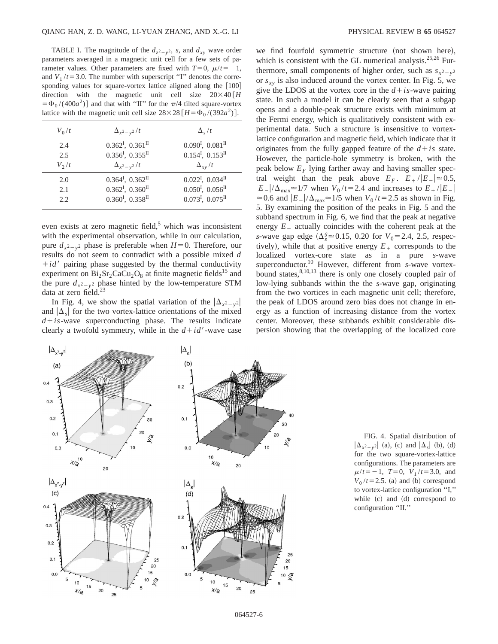TABLE I. The magnitude of the  $d_{z^2-y^2}$ , *s*, and  $d_{xy}$  wave order parameters averaged in a magnetic unit cell for a few sets of parameter values. Other parameters are fixed with  $T=0$ ,  $\mu/t=-1$ , and  $V_1/t = 3.0$ . The number with superscript "I" denotes the corresponding values for square-vortex lattice aligned along the  $[100]$ direction with the magnetic unit cell size  $20 \times 40 \overline{H}$  $= \Phi_0/(400a^2)$  and that with "II" for the  $\pi/4$  tilted square-vortex lattice with the magnetic unit cell size  $28 \times 28 [H = \Phi_0 / (392a^2)]$ .

| $V_0/t$            | $\Delta_{x^2-y^2}/t$                                                                                             | $\Delta_{s}/t$                                                                                                                       |
|--------------------|------------------------------------------------------------------------------------------------------------------|--------------------------------------------------------------------------------------------------------------------------------------|
| 2.4<br>2.5         | $0.362^{\mathrm{I}}$ , $0.361^{\mathrm{II}}$<br>$0.356^{\mathrm{I}}$ , $0.355^{\mathrm{II}}$                     | $0.090I$ , $0.081II$<br>$0.154^{\text{I}}$ , $0.153^{\text{II}}$                                                                     |
| $V_2/t$            | $\Delta_{x^2-y^2}/t$                                                                                             | $\Delta_{xy}/t$                                                                                                                      |
| 2.0<br>2.1<br>2.2. | $0.364I$ , $0.362II$<br>$0.362^{\mathrm{I}}$ , $0.360^{\mathrm{II}}$<br>$0.360^{\text{I}}$ , $0.358^{\text{II}}$ | $0.022^{\mathrm{I}}$ , $0.034^{\mathrm{II}}$<br>$0.050^{\text{I}}$ , $0.056^{\text{II}}$<br>$0.073^{\text{I}}$ , $0.075^{\text{II}}$ |
|                    |                                                                                                                  |                                                                                                                                      |

even exists at zero magnetic field, $5$  which was inconsistent with the experimental observation, while in our calculation, pure  $d_{x^2-y^2}$  phase is preferable when  $H=0$ . Therefore, our results do not seem to contradict with a possible mixed *d*  $+i d'$  pairing phase suggested by the thermal conductivity experiment on  $Bi_2Sr_2CaCu_2O_8$  at finite magnetic fields<sup>15</sup> and the pure  $d_{x^2-y^2}$  phase hinted by the low-temperature STM data at zero field. $^{23}$ 

In Fig. 4, we show the spatial variation of the  $|\Delta_{x^2-y^2}|$ and  $|\Delta_{s}|$  for the two vortex-lattice orientations of the mixed  $d + is$ -wave superconducting phase. The results indicate clearly a twofold symmetry, while in the  $d + id'$ -wave case we find fourfold symmetric structure (not shown here), which is consistent with the GL numerical analysis. $25,26$  Furthermore, small components of higher order, such as  $s_{x^2-y^2}$ or  $s_{xy}$  is also induced around the vortex center. In Fig. 5, we give the LDOS at the vortex core in the  $d + is$ -wave pairing state. In such a model it can be clearly seen that a subgap opens and a double-peak structure exists with minimum at the Fermi energy, which is qualitatively consistent with experimental data. Such a structure is insensitive to vortexlattice configuration and magnetic field, which indicate that it originates from the fully gapped feature of the  $d + is$  state. However, the particle-hole symmetry is broken, with the peak below  $E_F$  lying farther away and having smaller spectral weight than the peak above  $E_F$ .  $E_+ / |E_-| \approx 0.5$ ,  $|E_-|/\Delta_{\text{max}} \approx 1/7$  when  $V_0/t = 2.4$  and increases to  $E_+ / |E_-|$  $\approx$  0.6 and  $|E_-|/\Delta_{\text{max}}\approx$  1/5 when  $V_0/t$  = 2.5 as shown in Fig. 5. By examining the position of the peaks in Fig. 5 and the subband spectrum in Fig. 6, we find that the peak at negative energy  $E_{-}$  actually coincides with the coherent peak at the *s*-wave gap edge ( $\Delta_s^g$   $\approx$  0.15, 0.20 for  $V_0$  = 2.4, 2.5, respectively), while that at positive energy  $E_+$  corresponds to the localized vortex-core state as in a pure *s*-wave superconductor.10 However, different from *s*-wave vortexbound states, $8,10,13$  there is only one closely coupled pair of low-lying subbands within the the *s*-wave gap, originating from the two vortices in each magnetic unit cell; therefore, the peak of LDOS around zero bias does not change in energy as a function of increasing distance from the vortex center. Moreover, these subbands exhibit considerable dispersion showing that the overlapping of the localized core



FIG. 4. Spatial distribution of  $|\Delta_{x^2-y^2}|$  (a), (c) and  $|\Delta_s|$  (b), (d) for the two square-vortex-lattice configurations. The parameters are  $\mu/t = -1$ ,  $T=0$ ,  $V_1/t = 3.0$ , and  $V_0/t = 2.5$ . (a) and (b) correspond to vortex-lattice configuration ''I,'' while  $(c)$  and  $(d)$  correspond to configuration ''II.''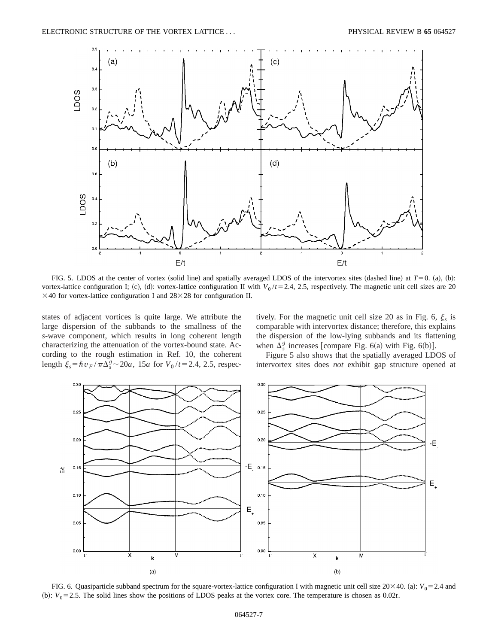

FIG. 5. LDOS at the center of vortex (solid line) and spatially averaged LDOS of the intervortex sites (dashed line) at  $T=0$ . (a), (b): vortex-lattice configuration I; (c), (d): vortex-lattice configuration II with  $V_0/t = 2.4$ , 2.5, respectively. The magnetic unit cell sizes are 20  $\times$  40 for vortex-lattice configuration I and 28 $\times$  28 for configuration II.

states of adjacent vortices is quite large. We attribute the large dispersion of the subbands to the smallness of the *s*-wave component, which results in long coherent length characterizing the attenuation of the vortex-bound state. According to the rough estimation in Ref. 10, the coherent length  $\xi_s = \hbar v_F / \pi \Delta_s^g \sim 20a$ , 15*a* for  $V_0 / t = 2.4$ , 2.5, respectively. For the magnetic unit cell size 20 as in Fig. 6,  $\xi_s$  is comparable with intervortex distance; therefore, this explains the dispersion of the low-lying subbands and its flattening when  $\Delta_s^g$  increases [compare Fig. 6(a) with Fig. 6(b)].

Figure 5 also shows that the spatially averaged LDOS of intervortex sites does *not* exhibit gap structure opened at



FIG. 6. Quasiparticle subband spectrum for the square-vortex-lattice configuration I with magnetic unit cell size  $20\times 40$ . (a):  $V_0 = 2.4$  and (b):  $V_0 = 2.5$ . The solid lines show the positions of LDOS peaks at the vortex core. The temperature is chosen as  $0.02t$ .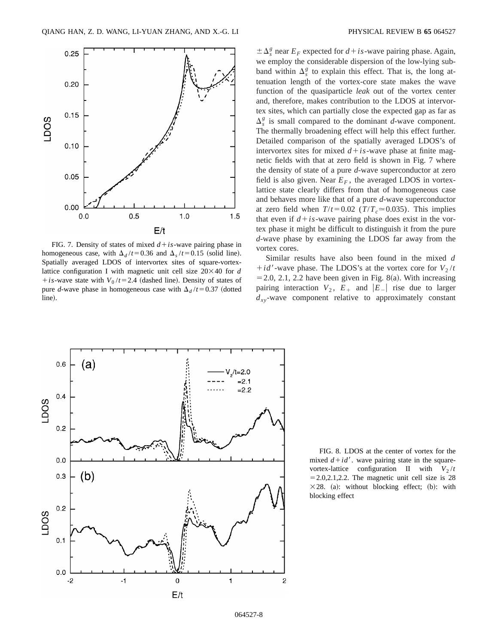

FIG. 7. Density of states of mixed  $d + is$ -wave pairing phase in homogeneous case, with  $\Delta_d / t = 0.36$  and  $\Delta_s / t = 0.15$  (solid line). Spatially averaged LDOS of intervortex sites of square-vortexlattice configuration I with magnetic unit cell size  $20 \times 40$  for *d + is*-wave state with  $V_0/t = 2.4$  (dashed line). Density of states of pure *d*-wave phase in homogeneous case with  $\Delta_d / t = 0.37$  (dotted line).

 $\pm \Delta_s^g$  near  $E_F$  expected for  $d + is$ -wave pairing phase. Again, we employ the considerable dispersion of the low-lying subband within  $\Delta_s^g$  to explain this effect. That is, the long attenuation length of the vortex-core state makes the wave function of the quasiparticle *leak* out of the vortex center and, therefore, makes contribution to the LDOS at intervortex sites, which can partially close the expected gap as far as  $\Delta_s^g$  is small compared to the dominant *d*-wave component. The thermally broadening effect will help this effect further. Detailed comparison of the spatially averaged LDOS's of intervortex sites for mixed  $d + is$ -wave phase at finite magnetic fields with that at zero field is shown in Fig. 7 where the density of state of a pure *d*-wave superconductor at zero field is also given. Near  $E_F$ , the averaged LDOS in vortexlattice state clearly differs from that of homogeneous case and behaves more like that of a pure *d*-wave superconductor at zero field when  $T/t = 0.02$  ( $T/T_c \approx 0.035$ ). This implies that even if  $d + is$ -wave pairing phase does exist in the vortex phase it might be difficult to distinguish it from the pure *d*-wave phase by examining the LDOS far away from the vortex cores.

Similar results have also been found in the mixed *d*  $+i d'$ -wave phase. The LDOS's at the vortex core for  $V_2/t$  $=$  2.0, 2.1, 2.2 have been given in Fig. 8(a). With increasing pairing interaction  $V_2$ ,  $E_+$  and  $|E_-|$  rise due to larger  $d_{xy}$ -wave component relative to approximately constant



FIG. 8. LDOS at the center of vortex for the mixed  $d + id'$ . wave pairing state in the squarevortex-lattice configuration II with  $V_2/t$  $= 2.0, 2.1, 2.2$ . The magnetic unit cell size is 28  $\times$  28. (a): without blocking effect; (b): with blocking effect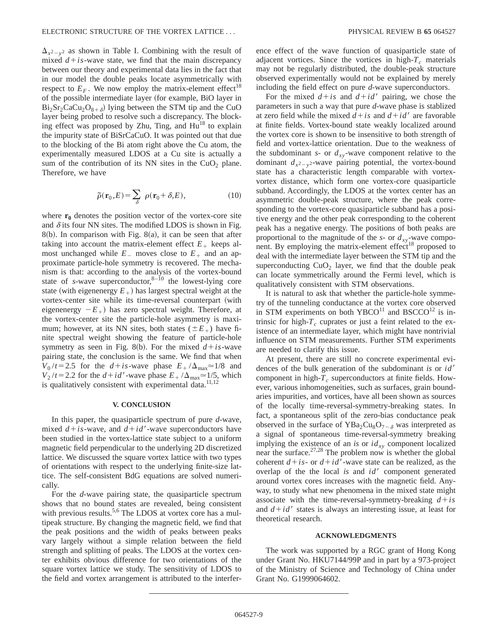$\Delta_{x^2-y^2}$  as shown in Table I. Combining with the result of mixed  $d + is$ -wave state, we find that the main discrepancy between our theory and experimental data lies in the fact that in our model the double peaks locate asymmetrically with respect to  $E_F$ . We now employ the matrix-element effect<sup>18</sup> of the possible intermediate layer (for example, BiO layer in  $Bi_2Sr_2CaCu_2O_{8+\delta}$  lying between the STM tip and the CuO layer being probed to resolve such a discrepancy. The blocking effect was proposed by Zhu, Ting, and  $Hu^{18}$  to explain the impurity state of BiSrCaCuO. It was pointed out that due to the blocking of the Bi atom right above the Cu atom, the experimentally measured LDOS at a Cu site is actually a sum of the contribution of its NN sites in the  $CuO<sub>2</sub>$  plane. Therefore, we have

$$
\tilde{\rho}(\mathbf{r}_0, E) = \sum_{\delta} \rho(\mathbf{r}_0 + \delta, E), \qquad (10)
$$

where  $r_0$  denotes the position vector of the vortex-core site and  $\delta$  its four NN sites. The modified LDOS is shown in Fig.  $8(b)$ . In comparison with Fig.  $8(a)$ , it can be seen that after taking into account the matrix-element effect  $E_{+}$  keeps almost unchanged while  $E_{-}$  moves close to  $E_{+}$  and an approximate particle-hole symmetry is recovered. The mechanism is that: according to the analysis of the vortex-bound state of *s*-wave superconductor, $8-10$  the lowest-lying core state (with eigenenergy  $E_+$ ) has largest spectral weight at the vortex-center site while its time-reversal counterpart (with eigenenergy  $-E_{+}$ ) has zero spectral weight. Therefore, at the vortex-center site the particle-hole asymmetry is maximum; however, at its NN sites, both states ( $E_+$ ) have finite spectral weight showing the feature of particle-hole symmetry as seen in Fig. 8(b). For the mixed  $d + is$ -wave pairing state, the conclusion is the same. We find that when  $V_0/t = 2.5$  for the  $d + is$ -wave phase  $E_+/\Delta_{\text{max}} \approx 1/8$  and  $V_2/t = 2.2$  for the  $d + id'$ -wave phase  $E_+/\Delta_{\text{max}} \approx 1/5$ , which is qualitatively consistent with experimental data.<sup>11,12</sup>

#### **V. CONCLUSION**

In this paper, the quasiparticle spectrum of pure *d*-wave, mixed  $d + is$ -wave, and  $d + id'$ -wave superconductors have been studied in the vortex-lattice state subject to a uniform magnetic field perpendicular to the underlying 2D discretized lattice. We discussed the square vortex lattice with two types of orientations with respect to the underlying finite-size lattice. The self-consistent BdG equations are solved numerically.

For the *d*-wave pairing state, the quasiparticle spectrum shows that no bound states are revealed, being consistent with previous results.<sup>5,6</sup> The LDOS at vortex core has a multipeak structure. By changing the magnetic field, we find that the peak positions and the width of peaks between peaks vary largely without a simple relation between the field strength and splitting of peaks. The LDOS at the vortex center exhibits obvious difference for two orientations of the square vortex lattice we study. The sensitivity of LDOS to the field and vortex arrangement is attributed to the interference effect of the wave function of quasiparticle state of adjacent vortices. Since the vortices in high- $T_c$  materials may not be regularly distributed, the double-peak structure observed experimentally would not be explained by merely including the field effect on pure *d*-wave superconductors.

For the mixed  $d+is$  and  $d+id'$  pairing, we chose the parameters in such a way that pure *d*-wave phase is stablized at zero field while the mixed  $d + is$  and  $d + id'$  are favorable at finite fields. Vortex-bound state weakly localized around the vortex core is shown to be insensitive to both strength of field and vortex-lattice orientation. Due to the weakness of the subdominant *s*- or  $d_{xy}$ -wave component relative to the dominant  $d_{x^2-y^2}$ -wave pairing potential, the vortex-bound state has a characteristic length comparable with vortexvortex distance, which form one vortex-core quasiparticle subband. Accordingly, the LDOS at the vortex center has an asymmetric double-peak structure, where the peak corresponding to the vortex-core quasiparticle subband has a positive energy and the other peak corresponding to the coherent peak has a negative energy. The positions of both peaks are proportional to the magnitude of the  $s$ - or  $d_{xy}$ -wave component. By employing the matrix-element effect $^{18}$  proposed to deal with the intermediate layer between the STM tip and the superconducting  $CuO<sub>2</sub>$  layer, we find that the double peak can locate symmetrically around the Fermi level, which is qualitatively consistent with STM observations.

It is natural to ask that whether the particle-hole symmetry of the tunneling conductance at the vortex core observed in STM experiments on both YBCO<sup>11</sup> and BSCCO<sup>12</sup> is intrinsic for high- $T_c$  cuprates or just a feint related to the existence of an intermediate layer, which might have nontrivial influence on STM measurements. Further STM experiments are needed to clarify this issue.

At present, there are still no concrete experimental evidences of the bulk generation of the subdominant *is* or *id'* component in high- $T_c$  superconductors at finite fields. However, various inhomogeneities, such as surfaces, grain boundaries impurities, and vortices, have all been shown as sources of the locally time-reversal-symmetry-breaking states. In fact, a spontaneous split of the zero-bias conductance peak observed in the surface of  $YBa<sub>2</sub>Cu<sub>8</sub>O<sub>7-\delta</sub>$  was interpreted as a signal of spontaneous time-reversal-symmetry breaking implying the existence of an *is* or  $id_{xy}$  component localized near the surface.<sup>27,28</sup> The problem now is whether the global coherent  $d + is$ - or  $d + id'$ -wave state can be realized, as the overlap of the the local *is* and *id'* component generated around vortex cores increases with the magnetic field. Anyway, to study what new phenomena in the mixed state might associate with the time-reversal-symmetry-breaking  $d + is$ and  $d + id'$  states is always an interesting issue, at least for theoretical research.

#### **ACKNOWLEDGMENTS**

The work was supported by a RGC grant of Hong Kong under Grant No. HKU7144/99P and in part by a 973-project of the Ministry of Science and Technology of China under Grant No. G1999064602.